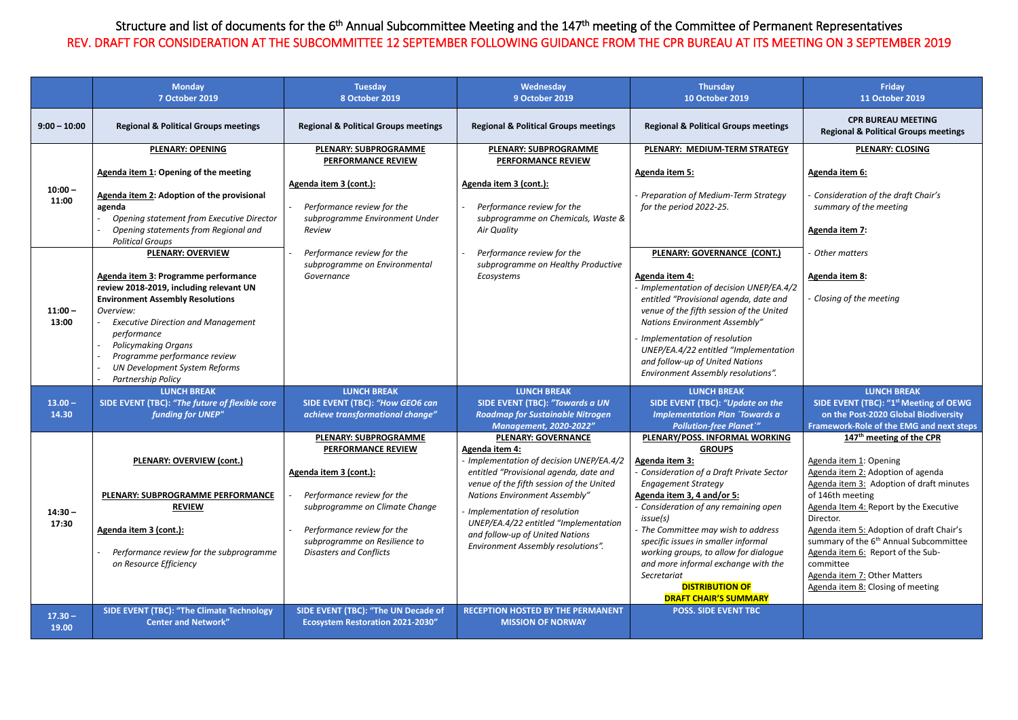## Structure and list of documents for the 6<sup>th</sup> Annual Subcommittee Meeting and the 147<sup>th</sup> meeting of the Committee of Permanent Representatives REV. DRAFT FOR CONSIDERATION AT THE SUBCOMMITTEE 12 SEPTEMBER FOLLOWING GUIDANCE FROM THE CPR BUREAU AT ITS MEETING ON 3 SEPTEMBER 2019

|                    | <b>Monday</b><br>7 October 2019                                                                                                                                                                                                                                                                                          | <b>Tuesday</b><br>8 October 2019                                                                                                                                                                                                                     | Wednesday<br>9 October 2019                                                                                                                                                                                                                                                                                                                                              | <b>Thursday</b><br><b>10 October 2019</b>                                                                                                                                                                                                                                                                                                                                                                                                                                   | Friday<br>11 October 2019                                                                                                                                                                                                                                                                                                                                                                                                                           |
|--------------------|--------------------------------------------------------------------------------------------------------------------------------------------------------------------------------------------------------------------------------------------------------------------------------------------------------------------------|------------------------------------------------------------------------------------------------------------------------------------------------------------------------------------------------------------------------------------------------------|--------------------------------------------------------------------------------------------------------------------------------------------------------------------------------------------------------------------------------------------------------------------------------------------------------------------------------------------------------------------------|-----------------------------------------------------------------------------------------------------------------------------------------------------------------------------------------------------------------------------------------------------------------------------------------------------------------------------------------------------------------------------------------------------------------------------------------------------------------------------|-----------------------------------------------------------------------------------------------------------------------------------------------------------------------------------------------------------------------------------------------------------------------------------------------------------------------------------------------------------------------------------------------------------------------------------------------------|
| $9:00 - 10:00$     | <b>Regional &amp; Political Groups meetings</b>                                                                                                                                                                                                                                                                          | <b>Regional &amp; Political Groups meetings</b>                                                                                                                                                                                                      | <b>Regional &amp; Political Groups meetings</b>                                                                                                                                                                                                                                                                                                                          | <b>Regional &amp; Political Groups meetings</b>                                                                                                                                                                                                                                                                                                                                                                                                                             | <b>CPR BUREAU MEETING</b><br><b>Regional &amp; Political Groups meetings</b>                                                                                                                                                                                                                                                                                                                                                                        |
| $10:00 -$<br>11:00 | <b>PLENARY: OPENING</b><br>Agenda item 1: Opening of the meeting<br>Agenda item 2: Adoption of the provisional<br>agenda<br>Opening statement from Executive Director<br>Opening statements from Regional and<br><b>Political Groups</b><br><b>PLENARY: OVERVIEW</b>                                                     | <b>PLENARY: SUBPROGRAMME</b><br><b>PERFORMANCE REVIEW</b><br>Agenda item 3 (cont.):<br>Performance review for the<br>subprogramme Environment Under<br>Review<br>Performance review for the                                                          | <b>PLENARY: SUBPROGRAMME</b><br><b>PERFORMANCE REVIEW</b><br>Agenda item 3 (cont.):<br>Performance review for the<br>subprogramme on Chemicals, Waste &<br>Air Quality<br>Performance review for the                                                                                                                                                                     | PLENARY: MEDIUM-TERM STRATEGY<br><b>Agenda item 5:</b><br>- Preparation of Medium-Term Strategy<br>for the period 2022-25.<br>PLENARY: GOVERNANCE (CONT.)                                                                                                                                                                                                                                                                                                                   | <b>PLENARY: CLOSING</b><br>Agenda item 6:<br>Consideration of the draft Chair's<br>summary of the meeting<br>Agenda item 7:<br>Other matters                                                                                                                                                                                                                                                                                                        |
| $11:00 -$<br>13:00 | Agenda item 3: Programme performance<br>review 2018-2019, including relevant UN<br><b>Environment Assembly Resolutions</b><br>Overview:<br><b>Executive Direction and Management</b><br>performance<br><b>Policymaking Organs</b><br>Programme performance review<br>UN Development System Reforms<br>Partnership Policy | subprogramme on Environmental<br>Governance                                                                                                                                                                                                          | subprogramme on Healthy Productive<br>Ecosystems                                                                                                                                                                                                                                                                                                                         | Agenda item 4:<br>- Implementation of decision UNEP/EA.4/2<br>entitled "Provisional agenda, date and<br>venue of the fifth session of the United<br><b>Nations Environment Assembly"</b><br>- Implementation of resolution<br>UNEP/EA.4/22 entitled "Implementation<br>and follow-up of United Nations<br>Environment Assembly resolutions".                                                                                                                                | Agenda item 8:<br>Closing of the meeting                                                                                                                                                                                                                                                                                                                                                                                                            |
| $13.00 -$<br>14.30 | <b>LUNCH BREAK</b><br>SIDE EVENT (TBC): "The future of flexible core<br>funding for UNEP"                                                                                                                                                                                                                                | <b>LUNCH BREAK</b><br>SIDE EVENT (TBC): "How GEO6 can<br>achieve transformational change"                                                                                                                                                            | <b>LUNCH BREAK</b><br><b>SIDE EVENT (TBC): "Towards a UN</b><br><b>Roadmap for Sustainable Nitrogen</b><br><b>Management, 2020-2022"</b>                                                                                                                                                                                                                                 | <b>LUNCH BREAK</b><br>SIDE EVENT (TBC): "Update on the<br><b>Implementation Plan 'Towards a</b><br><b>Pollution-free Planet'"</b>                                                                                                                                                                                                                                                                                                                                           | <b>LUNCH BREAK</b><br>SIDE EVENT (TBC): "1st Meeting of OEWG<br>on the Post-2020 Global Biodiversity<br><b>Framework-Role of the EMG and next steps</b>                                                                                                                                                                                                                                                                                             |
| $14:30 -$<br>17:30 | <b>PLENARY: OVERVIEW (cont.)</b><br>PLENARY: SUBPROGRAMME PERFORMANCE<br><b>REVIEW</b><br>Agenda item 3 (cont.):<br>Performance review for the subprogramme<br>on Resource Efficiency                                                                                                                                    | <b>PLENARY: SUBPROGRAMME</b><br><b>PERFORMANCE REVIEW</b><br>Agenda item 3 (cont.):<br>Performance review for the<br>subprogramme on Climate Change<br>Performance review for the<br>subprogramme on Resilience to<br><b>Disasters and Conflicts</b> | <b>PLENARY: GOVERNANCE</b><br>Agenda item 4:<br>- Implementation of decision UNEP/EA.4/2<br>entitled "Provisional agenda, date and<br>venue of the fifth session of the United<br><b>Nations Environment Assembly"</b><br>Implementation of resolution<br>UNEP/EA.4/22 entitled "Implementation<br>and follow-up of United Nations<br>Environment Assembly resolutions". | PLENARY/POSS. INFORMAL WORKING<br><b>GROUPS</b><br><b>Agenda item 3:</b><br>Consideration of a Draft Private Sector<br><b>Engagement Strategy</b><br>Agenda item 3, 4 and/or 5:<br>- Consideration of any remaining open<br>issue(s)<br>- The Committee may wish to address<br>specific issues in smaller informal<br>working groups, to allow for dialogue<br>and more informal exchange with the<br>Secretariat<br><b>DISTRIBUTION OF</b><br><b>DRAFT CHAIR'S SUMMARY</b> | 147 <sup>th</sup> meeting of the CPR<br>Agenda item 1: Opening<br>Agenda item 2: Adoption of agenda<br>Agenda item 3: Adoption of draft minutes<br>of 146th meeting<br>Agenda Item 4: Report by the Executive<br>Director.<br>Agenda item 5: Adoption of draft Chair's<br>summary of the 6 <sup>th</sup> Annual Subcommittee<br>Agenda item 6: Report of the Sub-<br>committee<br>Agenda item 7: Other Matters<br>Agenda item 8: Closing of meeting |
| $17.30 -$<br>19.00 | SIDE EVENT (TBC): "The Climate Technology<br><b>Center and Network"</b>                                                                                                                                                                                                                                                  | SIDE EVENT (TBC): "The UN Decade of<br><b>Ecosystem Restoration 2021-2030"</b>                                                                                                                                                                       | <b>RECEPTION HOSTED BY THE PERMANENT</b><br><b>MISSION OF NORWAY</b>                                                                                                                                                                                                                                                                                                     | <b>POSS. SIDE EVENT TBC</b>                                                                                                                                                                                                                                                                                                                                                                                                                                                 |                                                                                                                                                                                                                                                                                                                                                                                                                                                     |